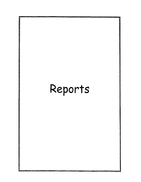# Reports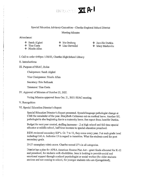

# Special Education Advisory Committee - Chariho Regional School District

### Meeting Minutes

Attendance:

- 
- 
- ❖ Jennifer Durkin
- ❖ Mary Markovitz
- ❖ NicoleAllen
- ◆ Sarah Algieri → ◆ Iris Ornberg<br>◆ Tina Costa → ◆ Lisa Gervasin ◆ Lisa Gervasini
- J. Call to order 6:00pm 1/20/22, Chatiho High School Libraty

### II. Introductions

III. Purpose of SEAC, Roles

Chairperson: Sarah Algleri

Vice Chairperson: Nicole Allen

Secretary: Erin Sefranek

Treasurer: Tina Costa

*N.* Approval of Minutes of October 21, 2021

Voting Minutes approved from Oct. 21, 2021 SEAC meeting.

# V. Recognition

## VI. Special Education Director's Report

Special Education Director's Report presented. Speech/language pathologist change at CMS for remainder of the year. MaryBeth Calderone out on medical leave. Another S/L pathologist is also beginning due to a maternity leave. See report from Jennifer Durkin.

Budget for next year created, staffing increases - .2 at high school and full time special educator at middle school, half time increase to special education preschool.

RIDE reviewed secondary IEP's. Gr. 7 to 12, they come every year. 5 at each grade level including CALA. Indicator 13 in regard to transition. What the students need for post secondary goals.

25-27 exemplary rubric score. Chariho scored 27's in all categories.

District has a plan for APRA American Rescue Plan Act - grant funds allocated for K-12 and preschool, for students with disabilities. Jenn is looking to provide social and emotional support through a school psychologist or social worker (for older students anxious and not coming to school, for younger students who are dysregulated);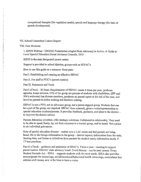occupational therapist (for regulation needs), speech and language therapy (for lack of speech development).

### VII. School Committee Liaison Report

**VIII. New Business** 

1. RIPIN Webinar 1/20/2022 Presentation adapted from Advocacy in Action: A Guide to Local Special Education Parent Advisory Councils, 2019

RIPIN is the state designated parent center.

Support is provided to school districts, groups such as SEPAC's

How to use this guide as a resource-three parts

Part I. Establishing and running an effective SEPAC

Part II. For staff at PTIC's (parent centers)

Part III. Resources and Tools

Part I of book – RI Basic Requirements of SEPAC: meets 4 times per year, produces agendas, keeps minutes, 51% of the group are parents of students with disabilities, (IEP and 504's welcome) has diverse members, produces an annual report at the end of the year, and involves parents in policy making and decision making.

SEPAC is not a PTO, not an advocacy group, not a parent support group. Students that can be a part of the group, not required. SEPAC does outreach, gives a voice/representation to special education students/parents. It provides feedback, guidance, and ideas to the district to improve the district culture.

Parents determine priorities, offer strategic solutions. Collaborative relationship. They need to be able to speak freely, lay out their concerns to a trusted group, and be heard. Not a place to air individual grievances.

Role of special education director – makes sure a LAC exists and that parents are being heard. He or she brings information to the group - district reports, information from the state, funding data, and listens to initiatives from parents for student needs, information needs, P. 17 best practices.

Part II of book – guidance and assistance of SEAC's. Twice a year – meeting to support parent leaders. RISEAC state advisory board. Covid Money - can be seed money. Every Student Exceeds Act - ESSA - supports students with the most needs. IDEA also provides money/grants for technology, social/emotional/behavioral health screenings, curriculums that address s/e/b issues, now is the time to have a voice.